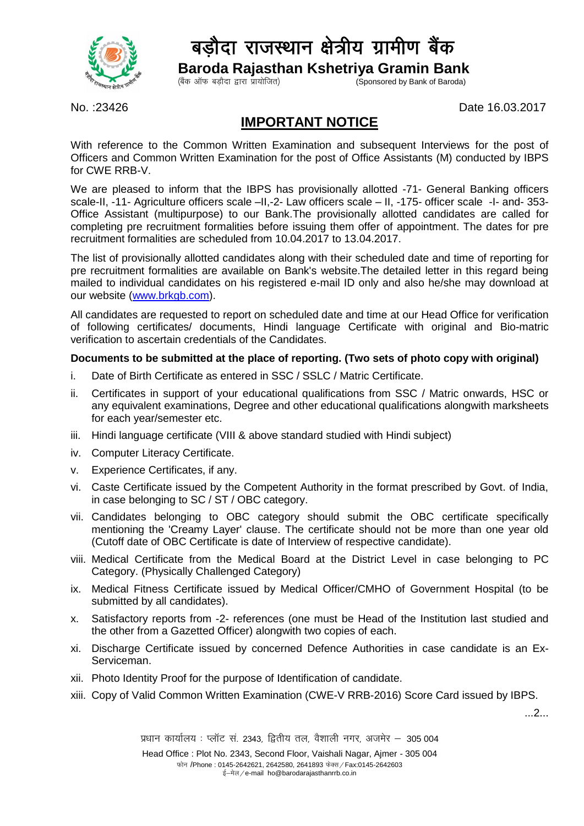

## बड़ौदा राजस्थान क्षेत्रीय ग्रामीण बैंक

 **Baroda Rajasthan Kshetriya Gramin Bank**

 $(\hat{a}$ क ऑफ बड़ौदा द्वारा प्रायोजित)

No. :23426 Date 16.03.2017

## **IMPORTANT NOTICE**

With reference to the Common Written Examination and subsequent Interviews for the post of Officers and Common Written Examination for the post of Office Assistants (M) conducted by IBPS for CWE RRB-V.

We are pleased to inform that the IBPS has provisionally allotted -71- General Banking officers scale-II, -11- Agriculture officers scale –II,-2- Law officers scale – II, -175- officer scale -I- and- 353- Office Assistant (multipurpose) to our Bank.The provisionally allotted candidates are called for completing pre recruitment formalities before issuing them offer of appointment. The dates for pre recruitment formalities are scheduled from 10.04.2017 to 13.04.2017.

The list of provisionally allotted candidates along with their scheduled date and time of reporting for pre recruitment formalities are available on Bank's website.The detailed letter in this regard being mailed to individual candidates on his registered e-mail ID only and also he/she may download at our website [\(www.brkgb.com\)](http://www.brkgb.com/).

All candidates are requested to report on scheduled date and time at our Head Office for verification of following certificates/ documents, Hindi language Certificate with original and Bio-matric verification to ascertain credentials of the Candidates.

## **Documents to be submitted at the place of reporting. (Two sets of photo copy with original)**

- i. Date of Birth Certificate as entered in SSC / SSLC / Matric Certificate.
- ii. Certificates in support of your educational qualifications from SSC / Matric onwards, HSC or any equivalent examinations, Degree and other educational qualifications alongwith marksheets for each year/semester etc.
- iii. Hindi language certificate (VIII & above standard studied with Hindi subject)
- iv. Computer Literacy Certificate.
- v. Experience Certificates, if any.
- vi. Caste Certificate issued by the Competent Authority in the format prescribed by Govt. of India, in case belonging to SC / ST / OBC category.
- vii. Candidates belonging to OBC category should submit the OBC certificate specifically mentioning the 'Creamy Layer' clause. The certificate should not be more than one year old (Cutoff date of OBC Certificate is date of Interview of respective candidate).
- viii. Medical Certificate from the Medical Board at the District Level in case belonging to PC Category. (Physically Challenged Category)
- ix. Medical Fitness Certificate issued by Medical Officer/CMHO of Government Hospital (to be submitted by all candidates).
- x. Satisfactory reports from -2- references (one must be Head of the Institution last studied and the other from a Gazetted Officer) alongwith two copies of each.
- xi. Discharge Certificate issued by concerned Defence Authorities in case candidate is an Ex-Serviceman.
- xii. Photo Identity Proof for the purpose of Identification of candidate.
- xiii. Copy of Valid Common Written Examination (CWE-V RRB-2016) Score Card issued by IBPS.

...2...

 $\mu$ धान कार्यालय: प्लॉट सं. 2343, दितीय तल, वैशाली नगर, अजमेर  $-$  305 004 Head Office : Plot No. 2343, Second Floor, Vaishali Nagar, Ajmer - 305 004 फोन /Phone : 0145-2642621, 2642580, 2641893 फेक्स / Fax:0145-2642603 ई-मेल / e-mail ho@barodarajasthanrrb.co.in